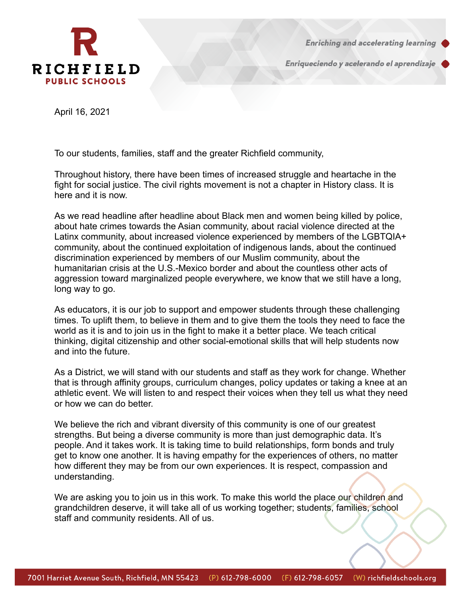

**Enriching and accelerating learning** 

Enriqueciendo y acelerando el aprendizaje

April 16, 2021

To our students, families, staff and the greater Richfield community,

Throughout history, there have been times of increased struggle and heartache in the fight for social justice. The civil rights movement is not a chapter in History class. It is here and it is now.

As we read headline after headline about Black men and women being killed by police, about hate crimes towards the Asian community, about racial violence directed at the Latinx community, about increased violence experienced by members of the LGBTQIA+ community, about the continued exploitation of indigenous lands, about the continued discrimination experienced by members of our Muslim community, about the humanitarian crisis at the U.S.-Mexico border and about the countless other acts of aggression toward marginalized people everywhere, we know that we still have a long, long way to go.

As educators, it is our job to support and empower students through these challenging times. To uplift them, to believe in them and to give them the tools they need to face the world as it is and to join us in the fight to make it a better place. We teach critical thinking, digital citizenship and other social-emotional skills that will help students now and into the future.

As a District, we will stand with our students and staff as they work for change. Whether that is through affinity groups, curriculum changes, policy updates or taking a knee at an athletic event. We will listen to and respect their voices when they tell us what they need or how we can do better.

We believe the rich and vibrant diversity of this community is one of our greatest strengths. But being a diverse community is more than just demographic data. It's people. And it takes work. It is taking time to build relationships, form bonds and truly get to know one another. It is having empathy for the experiences of others, no matter how different they may be from our own experiences. It is respect, compassion and understanding.

We are asking you to join us in this work. To make this world the place our children and grandchildren deserve, it will take all of us working together; students, families, school staff and community residents. All of us.